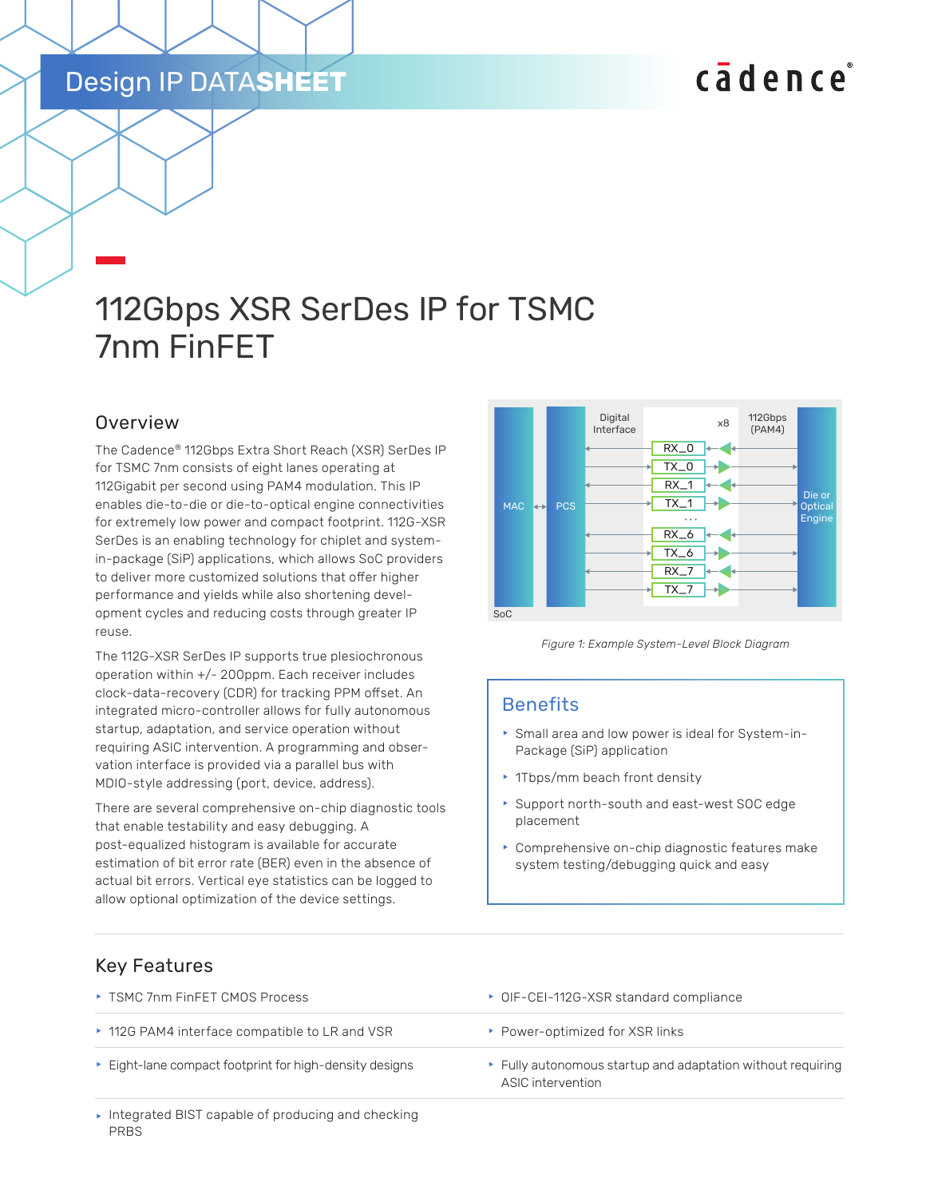## Design IP DATA**SHEET**

# cadence

## 112Gbps XSR SerDes IP for TSMC 7nm FinFET

## Overview

The Cadence® 112Gbps Extra Short Reach (XSR) SerDes IP for TSMC 7nm consists of eight lanes operating at 112Gigabit per second using PAM4 modulation. This IP enables die-to-die or die-to-optical engine connectivities for extremely low power and compact footprint. 112G-XSR SerDes is an enabling technology for chiplet and systemin-package (SiP) applications, which allows SoC providers to deliver more customized solutions that offer higher performance and yields while also shortening development cycles and reducing costs through greater IP reuse.

The 112G-XSR SerDes IP supports true plesiochronous operation within +/- 200ppm. Each receiver includes clock-data-recovery (CDR) for tracking PPM offset. An integrated micro-controller allows for fully autonomous startup, adaptation, and service operation without requiring ASIC intervention. A programming and observation interface is provided via a parallel bus with MDIO-style addressing (port, device, address).

There are several comprehensive on-chip diagnostic tools that enable testability and easy debugging. A post-equalized histogram is available for accurate estimation of bit error rate (BER) even in the absence of actual bit errors. Vertical eye statistics can be logged to allow optional optimization of the device settings.



*Figure 1: Example System-Level Block Diagram*

### **Benefits**

- **F** Small area and low power is ideal for System-in-Package (SiP) application
- $\cdot$  1Tbps/mm beach front density
- **Support north-south and east-west SOC edge** placement
- $\triangleright$  Comprehensive on-chip diagnostic features make system testing/debugging quick and easy

### Key Features

- ► TSMC 7nm FinFET CMOS Process **f OIF-CEI-112G-XSR** standard compliance ▶ 112G PAM4 interface compatible to LR and VSR **F** Power-optimized for XSR links Eight-lane compact footprint for high-density designs Fully autonomous startup and adaptation without requiring ASIC intervention
- $\blacktriangleright$  Integrated BIST capable of producing and checking PRBS